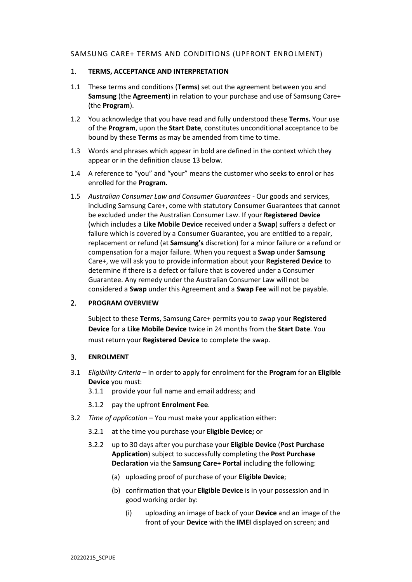# SAMSUNG CARE+ TERMS AND CONDITIONS (UPFRONT ENROLMENT)

#### 1. **TERMS, ACCEPTANCE AND INTERPRETATION**

- 1.1 These terms and conditions (**Terms**) set out the agreement between you and **Samsung** (the **Agreement**) in relation to your purchase and use of Samsung Care+ (the **Program**).
- 1.2 You acknowledge that you have read and fully understood these **Terms.** Your use of the **Program**, upon the **Start Date**, constitutes unconditional acceptance to be bound by these **Terms** as may be amended from time to time.
- 1.3 Words and phrases which appear in bold are defined in the context which they appear or in the definition clause 13 below.
- 1.4 A reference to "you" and "your" means the customer who seeks to enrol or has enrolled for the **Program**.
- 1.5 *Australian Consumer Law and Consumer Guarantees* Our goods and services, including Samsung Care+, come with statutory Consumer Guarantees that cannot be excluded under the Australian Consumer Law. If your **Registered Device** (which includes a **Like Mobile Device** received under a **Swap**) suffers a defect or failure which is covered by a Consumer Guarantee, you are entitled to a repair, replacement or refund (at **Samsung's** discretion) for a minor failure or a refund or compensation for a major failure. When you request a **Swap** under **Samsung**  Care+, we will ask you to provide information about your **Registered Device** to determine if there is a defect or failure that is covered under a Consumer Guarantee. Any remedy under the Australian Consumer Law will not be considered a **Swap** under this Agreement and a **Swap Fee** will not be payable.

# 2. **PROGRAM OVERVIEW**

Subject to these **Terms**, Samsung Care+ permits you to swap your **Registered Device** for a **Like Mobile Device** twice in 24 months from the **Start Date**. You must return your **Registered Device** to complete the swap.

# 3. **ENROLMENT**

- <span id="page-0-0"></span>3.1 *Eligibility Criteria* – In order to apply for enrolment for the **Program** for an **Eligible Device** you must:
	- 3.1.1 provide your full name and email address; and
	- 3.1.2 pay the upfront **Enrolment Fee**.
- 3.2 *Time of application* You must make your application either:
	- 3.2.1 at the time you purchase your **Eligible Device;** or
	- 3.2.2 up to 30 days after you purchase your **Eligible Device** (**Post Purchase Application**) subject to successfully completing the **Post Purchase Declaration** via the **Samsung Care+ Portal** including the following:
		- (a) uploading proof of purchase of your **Eligible Device**;
		- (b) confirmation that your **Eligible Device** is in your possession and in good working order by:
			- (i) uploading an image of back of your **Device** and an image of the front of your **Device** with the **IMEI** displayed on screen; and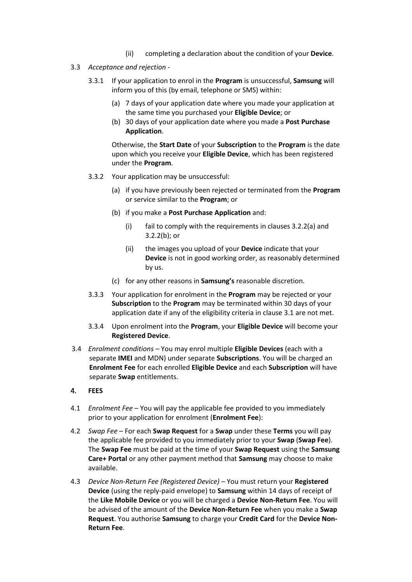- (ii) completing a declaration about the condition of your **Device**.
- <span id="page-1-2"></span>3.3 *Acceptance and rejection* -
	- 3.3.1 If your application to enrol in the **Program** is unsuccessful, **Samsung** will inform you of this (by email, telephone or SMS) within:
		- (a) 7 days of your application date where you made your application at the same time you purchased your **Eligible Device**; or
		- (b) 30 days of your application date where you made a **Post Purchase Application**.

Otherwise, the **Start Date** of your **Subscription** to the **Program** is the date upon which you receive your **Eligible Device**, which has been registered under the **Program**.

- 3.3.2 Your application may be unsuccessful:
	- (a) if you have previously been rejected or terminated from the **Program**  or service similar to the **Program**; or
	- (b) if you make a **Post Purchase Application** and:
		- (i) fail to comply with the requirements in clauses 3.2.2(a) and 3.2.2(b); or
		- (ii) the images you upload of your **Device** indicate that your **Device** is not in good working order, as reasonably determined by us.
	- (c) for any other reasons in **Samsung's** reasonable discretion.
- 3.3.3 Your application for enrolment in the **Program** may be rejected or your **Subscription** to the **Program** may be terminated within 30 days of your application date if any of the eligibility criteria in claus[e 3.1](#page-0-0) are not met.
- 3.3.4 Upon enrolment into the **Program**, your **Eligible Device** will become your **Registered Device**.
- 3.4 *Enrolment conditions –* You may enrol multiple **Eligible Devices** (each with a separate **IMEI** and MDN) under separate **Subscriptions**. You will be charged an **Enrolment Fee** for each enrolled **Eligible Device** and each **Subscription** will have separate **Swap** entitlements.

# <span id="page-1-0"></span>4. **FEES**

- <span id="page-1-1"></span>4.1 *Enrolment Fee* – You will pay the applicable fee provided to you immediately prior to your application for enrolment (**Enrolment Fee**):
- 4.2 *Swap Fee* For each **Swap Request** for a **Swap** under these **Terms** you will pay the applicable fee provided to you immediately prior to your **Swap** (**Swap Fee**). The **Swap Fee** must be paid at the time of your **Swap Request** using the **Samsung Care+ Portal** or any other payment method that **Samsung** may choose to make available.
- 4.3 *Device Non-Return Fee (Registered Device)* You must return your **Registered Device** (using the reply-paid envelope) to **Samsung** within 14 days of receipt of the **Like Mobile Device** or you will be charged a **Device Non-Return Fee**. You will be advised of the amount of the **Device Non-Return Fee** when you make a **Swap Request**. You authorise **Samsung** to charge your **Credit Card** for the **Device Non-Return Fee**.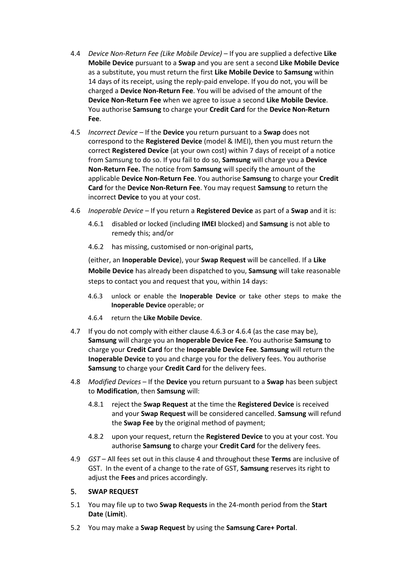- 4.4 *Device Non-Return Fee (Like Mobile Device)* If you are supplied a defective **Like Mobile Device** pursuant to a **Swap** and you are sent a second **Like Mobile Device** as a substitute, you must return the first **Like Mobile Device** to **Samsung** within 14 days of its receipt, using the reply-paid envelope. If you do not, you will be charged a **Device Non-Return Fee**. You will be advised of the amount of the **Device Non-Return Fee** when we agree to issue a second **Like Mobile Device**. You authorise **Samsung** to charge your **Credit Card** for the **Device Non-Return Fee**.
- 4.5 *Incorrect Device* If the **Device** you return pursuant to a **Swap** does not correspond to the **Registered Device** (model & IMEI), then you must return the correct **Registered Device** (at your own cost) within 7 days of receipt of a notice from Samsung to do so. If you fail to do so, **Samsung** will charge you a **Device Non-Return Fee.** The notice from **Samsung** will specify the amount of the applicable **Device Non-Return Fee**. You authorise **Samsung** to charge your **Credit Card** for the **Device Non-Return Fee**. You may request **Samsung** to return the incorrect **Device** to you at your cost.
- 4.6 *Inoperable Device* If you return a **Registered Device** as part of a **Swap** and it is:
	- 4.6.1 disabled or locked (including **IMEI** blocked) and **Samsung** is not able to remedy this; and/or
	- 4.6.2 has missing, customised or non-original parts,

(either, an **Inoperable Device**), your **Swap Request** will be cancelled. If a **Like Mobile Device** has already been dispatched to you, **Samsung** will take reasonable steps to contact you and request that you, within 14 days:

- 4.6.3 unlock or enable the **Inoperable Device** or take other steps to make the **Inoperable Device** operable; or
- 4.6.4 return the **Like Mobile Device**.
- 4.7 If you do not comply with either clause 4.6.3 or 4.6.4 (as the case may be), **Samsung** will charge you an **Inoperable Device Fee**. You authorise **Samsung** to charge your **Credit Card** for the **Inoperable Device Fee**. **Samsung** will return the **Inoperable Device** to you and charge you for the delivery fees. You authorise **Samsung** to charge your **Credit Card** for the delivery fees.
- 4.8 *Modified Devices* If the **Device** you return pursuant to a **Swap** has been subject to **Modification**, then **Samsung** will:
	- 4.8.1 reject the **Swap Request** at the time the **Registered Device** is received and your **Swap Request** will be considered cancelled. **Samsung** will refund the **Swap Fee** by the original method of payment;
	- 4.8.2 upon your request, return the **Registered Device** to you at your cost. You authorise **Samsung** to charge your **Credit Card** for the delivery fees.
- 4.9 *GST*  All fees set out in this clause [4](#page-1-0) and throughout these **Terms** are inclusive of GST. In the event of a change to the rate of GST, **Samsung** reserves its right to adjust the **Fees** and prices accordingly.

#### 5. **SWAP REQUEST**

- 5.1 You may file up to two **Swap Requests** in the 24-month period from the **Start Date** (**Limit**).
- 5.2 You may make a **Swap Request** by using the **Samsung Care+ Portal**.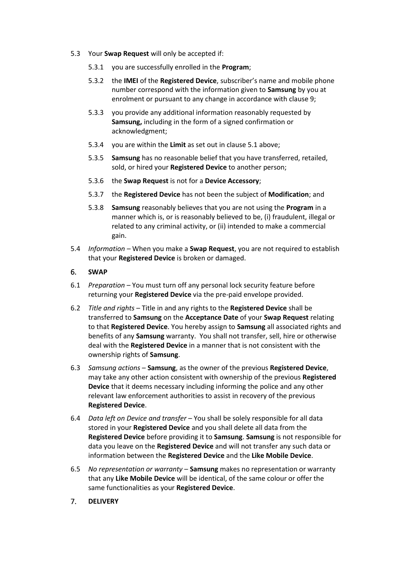- 5.3 Your **Swap Request** will only be accepted if:
	- 5.3.1 you are successfully enrolled in the **Program**;
	- 5.3.2 the **IMEI** of the **Registered Device**, subscriber's name and mobile phone number correspond with the information given to **Samsung** by you at enrolment or pursuant to any change in accordance with clause 9;
	- 5.3.3 you provide any additional information reasonably requested by **Samsung,** including in the form of a signed confirmation or acknowledgment;
	- 5.3.4 you are within the **Limit** as set out in clause 5.1 above;
	- 5.3.5 **Samsung** has no reasonable belief that you have transferred, retailed, sold, or hired your **Registered Device** to another person;
	- 5.3.6 the **Swap Request** is not for a **Device Accessory**;
	- 5.3.7 the **Registered Device** has not been the subject of **Modification**; and
	- 5.3.8 **Samsung** reasonably believes that you are not using the **Program** in a manner which is, or is reasonably believed to be, (i) fraudulent, illegal or related to any criminal activity, or (ii) intended to make a commercial gain.
- 5.4 *Information –* When you make a **Swap Request**, you are not required to establish that your **Registered Device** is broken or damaged.

# 6. **SWAP**

- 6.1 *Preparation* You must turn off any personal lock security feature before returning your **Registered Device** via the pre-paid envelope provided.
- <span id="page-3-0"></span>6.2 *Title and rights* – Title in and any rights to the **Registered Device** shall be transferred to **Samsung** on the **Acceptance Date** of your **Swap Request** relating to that **Registered Device**. You hereby assign to **Samsung** all associated rights and benefits of any **Samsung** warranty. You shall not transfer, sell, hire or otherwise deal with the **Registered Device** in a manner that is not consistent with the ownership rights of **Samsung**.
- 6.3 *Samsung actions* **Samsung**, as the owner of the previous **Registered Device**, may take any other action consistent with ownership of the previous **Registered Device** that it deems necessary including informing the police and any other relevant law enforcement authorities to assist in recovery of the previous **Registered Device**.
- 6.4 *Data left on Device and transfer* You shall be solely responsible for all data stored in your **Registered Device** and you shall delete all data from the **Registered Device** before providing it to **Samsung**. **Samsung** is not responsible for data you leave on the **Registered Device** and will not transfer any such data or information between the **Registered Device** and the **Like Mobile Device**.
- 6.5 *No representation or warranty* **Samsung** makes no representation or warranty that any **Like Mobile Device** will be identical, of the same colour or offer the same functionalities as your **Registered Device**.
- 7. **DELIVERY**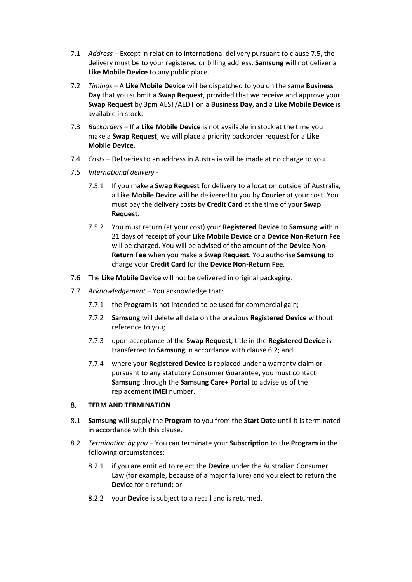- 7.1 *Address*  Except in relation to international delivery pursuant to clause [7.5,](#page-4-0) the delivery must be to your registered or billing address. **Samsung** will not deliver a **Like Mobile Device** to any public place.
- 7.2 *Timings*  A **Like Mobile Device** will be dispatched to you on the same **Business Day** that you submit a **Swap Request**, provided that we receive and approve your **Swap Request** by 3pm AEST/AEDT on a **Business Day**, and a **Like Mobile Device** is available in stock.
- 7.3 *Backorders*  If a **Like Mobile Device** is not available in stock at the time you make a **Swap Request**, we will place a priority backorder request for a **Like Mobile Device**.
- 7.4 *Costs* Deliveries to an address in Australia will be made at no charge to you.
- <span id="page-4-0"></span>7.5 *International delivery* -
	- 7.5.1 If you make a **Swap Request** for delivery to a location outside of Australia, a **Like Mobile Device** will be delivered to you by **Courier** at your cost. You must pay the delivery costs by **Credit Card** at the time of your **Swap Request**.
	- 7.5.2 You must return (at your cost) your **Registered Device** to **Samsung** within 21 days of receipt of your **Like Mobile Device** or a **Device Non-Return Fee** will be charged. You will be advised of the amount of the **Device Non-Return Fee** when you make a **Swap Request**. You authorise **Samsung** to charge your **Credit Card** for the **Device Non-Return Fee**.
- 7.6 The **Like Mobile Device** will not be delivered in original packaging.
- 7.7 *Acknowledgement* You acknowledge that:
	- 7.7.1 the **Program** is not intended to be used for commercial gain;
	- 7.7.2 **Samsung** will delete all data on the previous **Registered Device** without reference to you;
	- 7.7.3 upon acceptance of the **Swap Request**, title in the **Registered Device** is transferred to **Samsung** in accordance with clause [6.2;](#page-3-0) and
	- 7.7.4 where your **Registered Device** is replaced under a warranty claim or pursuant to any statutory Consumer Guarantee, you must contact **Samsung** through the **Samsung Care+ Portal** to advise us of the replacement **IMEI** number.

# 8. **TERM AND TERMINATION**

- 8.1 **Samsung** will supply the **Program** to you from the **Start Date** until it is terminated in accordance with this clause.
- 8.2 *Termination by you –* You can terminate your **Subscription** to the **Program** in the following circumstances:
	- 8.2.1 if you are entitled to reject the **Device** under the Australian Consumer Law (for example, because of a major failure) and you elect to return the **Device** for a refund; or
	- 8.2.2 your **Device** is subject to a recall and is returned.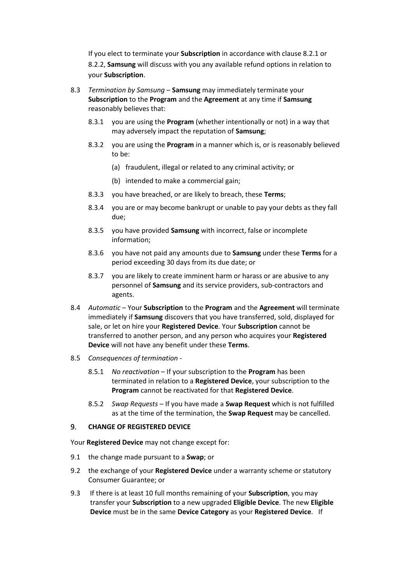If you elect to terminate your **Subscription** in accordance with clause 8.2.1 or 8.2.2, **Samsung** will discuss with you any available refund options in relation to your **Subscription**.

- 8.3 *Termination by Samsung* **Samsung** may immediately terminate your **Subscription** to the **Program** and the **Agreement** at any time if **Samsung**  reasonably believes that:
	- 8.3.1 you are using the **Program** (whether intentionally or not) in a way that may adversely impact the reputation of **Samsung**;
	- 8.3.2 you are using the **Program** in a manner which is, or is reasonably believed to be:
		- (a) fraudulent, illegal or related to any criminal activity; or
		- (b) intended to make a commercial gain;
	- 8.3.3 you have breached, or are likely to breach, these **Terms**;
	- 8.3.4 you are or may become bankrupt or unable to pay your debts as they fall due;
	- 8.3.5 you have provided **Samsung** with incorrect, false or incomplete information;
	- 8.3.6 you have not paid any amounts due to **Samsung** under these **Terms** for a period exceeding 30 days from its due date; or
	- 8.3.7 you are likely to create imminent harm or harass or are abusive to any personnel of **Samsung** and its service providers, sub-contractors and agents.
- 8.4 *Automatic*  Your **Subscription** to the **Program** and the **Agreement** will terminate immediately if **Samsung** discovers that you have transferred, sold, displayed for sale, or let on hire your **Registered Device**. Your **Subscription** cannot be transferred to another person, and any person who acquires your **Registered Device** will not have any benefit under these **Terms**.
- 8.5 *Consequences of termination -*
	- 8.5.1 *No reactivation* If your subscription to the **Program** has been terminated in relation to a **Registered Device**, your subscription to the **Program** cannot be reactivated for that **Registered Device**.
	- 8.5.2 *Swap Requests* If you have made a **Swap Request** which is not fulfilled as at the time of the termination, the **Swap Request** may be cancelled.

### 9. **CHANGE OF REGISTERED DEVICE**

Your **Registered Device** may not change except for:

- 9.1 the change made pursuant to a **Swap**; or
- 9.2 the exchange of your **Registered Device** under a warranty scheme or statutory Consumer Guarantee; or
- 9.3 If there is at least 10 full months remaining of your **Subscription**, you may transfer your **Subscription** to a new upgraded **Eligible Device**. The new **Eligible Device** must be in the same **Device Category** as your **Registered Device**. If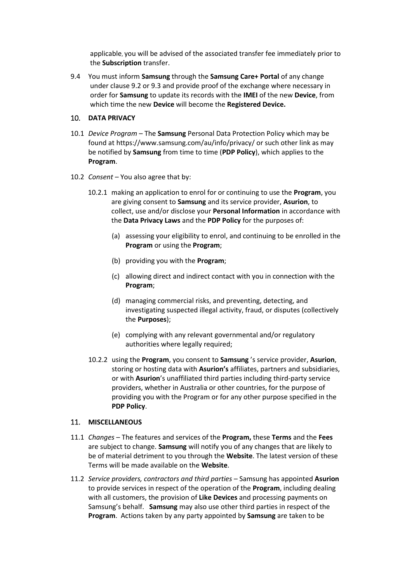applicable, you will be advised of the associated transfer fee immediately prior to the **Subscription** transfer.

9.4 You must inform **Samsung** through the **Samsung Care+ Portal** of any change under clause 9.2 or 9.3 and provide proof of the exchange where necessary in order for **Samsung** to update its records with the **IMEI** of the new **Device**, from which time the new **Device** will become the **Registered Device.**

# 10. **DATA PRIVACY**

- 10.1 *Device Program* The **Samsung** Personal Data Protection Policy which may be found at https://www.samsung.com/au/info/privacy/ or such other link as may be notified by **Samsung** from time to time (**PDP Policy**), which applies to the **Program**.
- 10.2 *Consent –* You also agree that by:
	- 10.2.1 making an application to enrol for or continuing to use the **Program**, you are giving consent to **Samsung** and its service provider, **Asurion**, to collect, use and/or disclose your **Personal Information** in accordance with the **Data Privacy Laws** and the **PDP Policy** for the purposes of:
		- (a) assessing your eligibility to enrol, and continuing to be enrolled in the **Program** or using the **Program**;
		- (b) providing you with the **Program**;
		- (c) allowing direct and indirect contact with you in connection with the **Program**;
		- (d) managing commercial risks, and preventing, detecting, and investigating suspected illegal activity, fraud, or disputes (collectively the **Purposes**);
		- (e) complying with any relevant governmental and/or regulatory authorities where legally required;
	- 10.2.2 using the **Program**, you consent to **Samsung** 's service provider, **Asurion**, storing or hosting data with **Asurion's** affiliates, partners and subsidiaries, or with **Asurion**'s unaffiliated third parties including third-party service providers, whether in Australia or other countries, for the purpose of providing you with the Program or for any other purpose specified in the **PDP Policy**.

# 11. **MISCELLANEOUS**

- 11.1 *Changes* The features and services of the **Program,** these **Terms** and the **Fees** are subject to change. **Samsung** will notify you of any changes that are likely to be of material detriment to you through the **Website**. The latest version of these Terms will be made available on the **Website**.
- 11.2 *Service providers, contractors and third parties*  Samsung has appointed **Asurion** to provide services in respect of the operation of the **Program**, including dealing with all customers, the provision of **Like Devices** and processing payments on Samsung's behalf. **Samsung** may also use other third parties in respect of the **Program**. Actions taken by any party appointed by **Samsung** are taken to be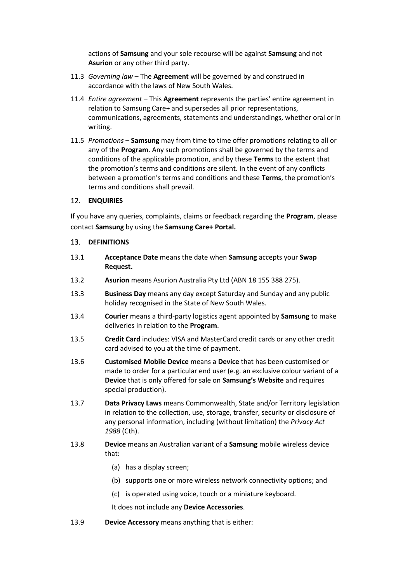actions of **Samsung** and your sole recourse will be against **Samsung** and not **Asurion** or any other third party.

- 11.3 *Governing law* The **Agreement** will be governed by and construed in accordance with the laws of New South Wales.
- 11.4 *Entire agreement* This **Agreement** represents the parties' entire agreement in relation to Samsung Care+ and supersedes all prior representations, communications, agreements, statements and understandings, whether oral or in writing.
- 11.5 *Promotions –* **Samsung** may from time to time offer promotions relating to all or any of the **Program**. Any such promotions shall be governed by the terms and conditions of the applicable promotion, and by these **Terms** to the extent that the promotion's terms and conditions are silent. In the event of any conflicts between a promotion's terms and conditions and these **Terms**, the promotion's terms and conditions shall prevail.

# 12. **ENQUIRIES**

If you have any queries, complaints, claims or feedback regarding the **Program**, please contact **Samsung** by using the **Samsung Care+ Portal.**

# 13. **DEFINITIONS**

- 13.1 **Acceptance Date** means the date when **Samsung** accepts your **Swap Request.**
- 13.2 **Asurion** means Asurion Australia Pty Ltd (ABN 18 155 388 275).
- 13.3 **Business Day** means any day except Saturday and Sunday and any public holiday recognised in the State of New South Wales.
- 13.4 **Courier** means a third-party logistics agent appointed by **Samsung** to make deliveries in relation to the **Program**.
- 13.5 **Credit Card** includes: VISA and MasterCard credit cards or any other credit card advised to you at the time of payment.
- 13.6 **Customised Mobile Device** means a **Device** that has been customised or made to order for a particular end user (e.g. an exclusive colour variant of a **Device** that is only offered for sale on **Samsung's Website** and requires special production).
- 13.7 **Data Privacy Laws** means Commonwealth, State and/or Territory legislation in relation to the collection, use, storage, transfer, security or disclosure of any personal information, including (without limitation) the *Privacy Act 1988* (Cth).
- 13.8 **Device** means an Australian variant of a **Samsung** mobile wireless device that:
	- (a) has a display screen;
	- (b) supports one or more wireless network connectivity options; and
	- (c) is operated using voice, touch or a miniature keyboard.

It does not include any **Device Accessories**.

13.9 **Device Accessory** means anything that is either: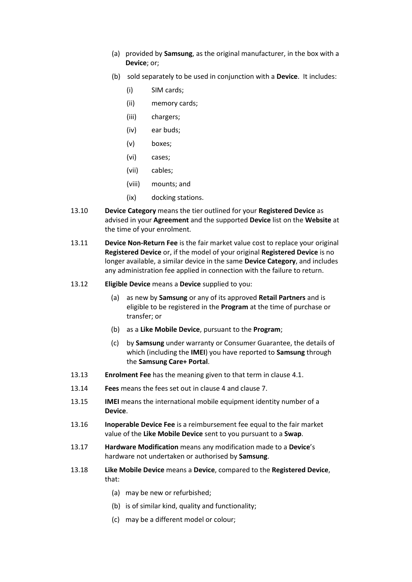- (a) provided by **Samsung**, as the original manufacturer, in the box with a **Device**; or;
- (b) sold separately to be used in conjunction with a **Device**. It includes:
	- (i) SIM cards;
	- (ii) memory cards;
	- (iii) chargers;
	- (iv) ear buds;
	- (v) boxes;
	- (vi) cases;
	- (vii) cables;
	- (viii) mounts; and
	- (ix) docking stations.
- 13.10 **Device Category** means the tier outlined for your **Registered Device** as advised in your **Agreement** and the supported **Device** list on the **Website** at the time of your enrolment.
- 13.11 **Device Non-Return Fee** is the fair market value cost to replace your original **Registered Device** or, if the model of your original **Registered Device** is no longer available, a similar device in the same **Device Category**, and includes any administration fee applied in connection with the failure to return.
- 13.12 **Eligible Device** means a **Device** supplied to you:
	- (a) as new by **Samsung** or any of its approved **Retail Partners** and is eligible to be registered in the **Program** at the time of purchase or transfer; or
	- (b) as a **Like Mobile Device**, pursuant to the **Program**;
	- (c) by **Samsung** under warranty or Consumer Guarantee, the details of which (including the **IMEI**) you have reported to **Samsung** through the **Samsung Care+ Portal**.
- 13.13 **Enrolment Fee** has the meaning given to that term in clause [4.1.](#page-1-1)
- 13.14 **Fees** means the fees set out in clause [4](#page-1-0) and clause 7.
- 13.15 **IMEI** means the international mobile equipment identity number of a **Device**.
- 13.16 **Inoperable Device Fee** is a reimbursement fee equal to the fair market value of the **Like Mobile Device** sent to you pursuant to a **Swap**.
- 13.17 **Hardware Modification** means any modification made to a **Device**'s hardware not undertaken or authorised by **Samsung**.
- 13.18 **Like Mobile Device** means a **Device**, compared to the **Registered Device**, that:
	- (a) may be new or refurbished;
	- (b) is of similar kind, quality and functionality;
	- (c) may be a different model or colour;